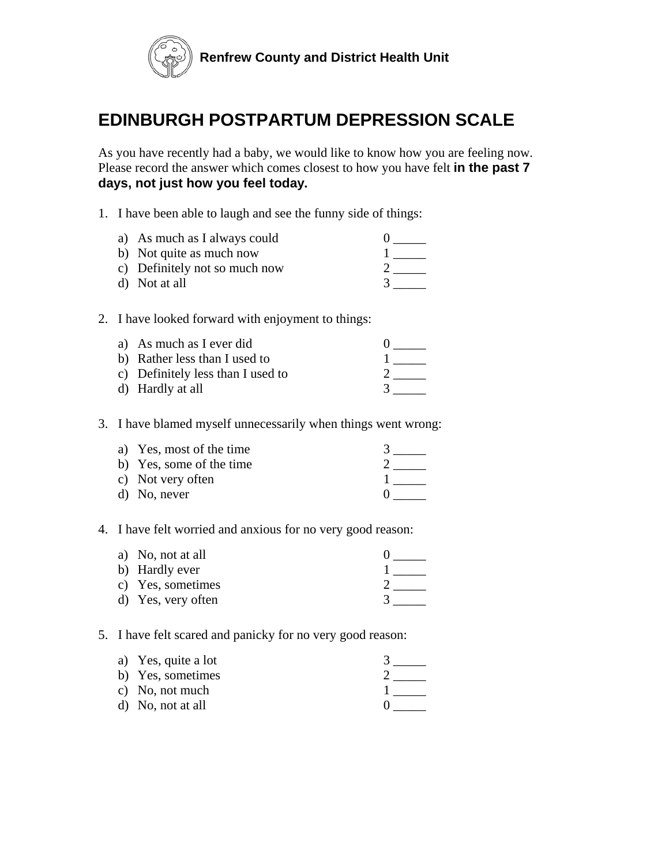

# **EDINBURGH POSTPARTUM DEPRESSION SCALE**

As you have recently had a baby, we would like to know how you are feeling now. Please record the answer which comes closest to how you have felt **in the past 7 days, not just how you feel today.**

1. I have been able to laugh and see the funny side of things:

| a) As much as I always could  |  |
|-------------------------------|--|
| b) Not quite as much now      |  |
| c) Definitely not so much now |  |
| d) Not at all                 |  |

2. I have looked forward with enjoyment to things:

| a) As much as I ever did          |  |
|-----------------------------------|--|
| b) Rather less than I used to     |  |
| c) Definitely less than I used to |  |
| d) Hardly at all                  |  |

3. I have blamed myself unnecessarily when things went wrong:

| a) Yes, most of the time |  |
|--------------------------|--|
| b) Yes, some of the time |  |
| c) Not very often        |  |
| d) No, never             |  |

4. I have felt worried and anxious for no very good reason:

| a) No, not at all  |  |
|--------------------|--|
| b) Hardly ever     |  |
| c) Yes, sometimes  |  |
| d) Yes, very often |  |

## 5. I have felt scared and panicky for no very good reason:

| a) Yes, quite a lot |  |
|---------------------|--|
| b) Yes, sometimes   |  |
| c) No, not much     |  |
| d) No, not at all   |  |